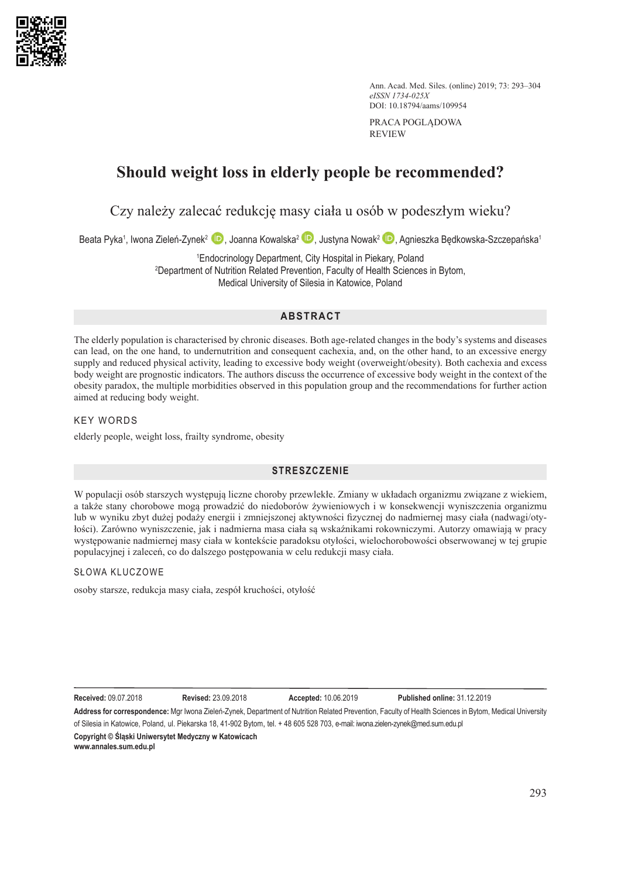

Ann. Acad. Med. Siles. (online) 2019; 73: 293–304 *eISSN 1734-025X* DOI: 10.18794/aams/109954

PRACA POGLĄDOWA REVIEW

# **Should weight loss in elderly people be recommended?**

Czy należy zalecać redukcję masy ciała u osób w podeszłym wieku?

Beata Pyka1[,](https://orcid.org/0000-0002-0029-1341) Iwona Zieleń-Zynek<sup>2</sup> (D), Joanna Kowalska<sup>2</sup> (D), Justyna Nowak<sup>2</sup> (D), Agnieszka Będkowska-Szczepańska1

1 Endocrinology Department, City Hospital in Piekary, Poland 2 Department of Nutrition Related Prevention, Faculty of Health Sciences in Bytom, Medical University of Silesia in Katowice, Poland

# **ABSTRACT**

The elderly population is characterised by chronic diseases. Both age-related changes in the body's systems and diseases can lead, on the one hand, to undernutrition and consequent cachexia, and, on the other hand, to an excessive energy supply and reduced physical activity, leading to excessive body weight (overweight/obesity). Both cachexia and excess body weight are prognostic indicators. The authors discuss the occurrence of excessive body weight in the context of the obesity paradox, the multiple morbidities observed in this population group and the recommendations for further action aimed at reducing body weight.

# KEY WORDS

elderly people, weight loss, frailty syndrome, obesity

# **STRESZCZENIE**

W populacji osób starszych występują liczne choroby przewlekłe. Zmiany w układach organizmu związane z wiekiem, a także stany chorobowe mogą prowadzić do niedoborów żywieniowych i w konsekwencji wyniszczenia organizmu lub w wyniku zbyt dużej podaży energii i zmniejszonej aktywności fizycznej do nadmiernej masy ciała (nadwagi/otyłości). Zarówno wyniszczenie, jak i nadmierna masa ciała są wskaźnikami rokowniczymi. Autorzy omawiają w pracy występowanie nadmiernej masy ciała w kontekście paradoksu otyłości, wielochorobowości obserwowanej w tej grupie populacyjnej i zaleceń, co do dalszego postępowania w celu redukcji masy ciała.

# SŁOWA KLUCZOWE

osoby starsze, redukcja masy ciała, zespół kruchości, otyłość

**Received:** 09.07.2018 **Revised:** 23.09.2018 **Accepted:** 10.06.2019 **Published online:** 31.12.2019

**Address for correspondence:** Mgr Iwona Zieleń-Zynek, Department of Nutrition Related Prevention, Faculty of Health Sciences in Bytom, Medical University of Silesia in Katowice, Poland, ul. Piekarska 18, 41-902 Bytom, tel. + 48 605 528 703, e-mail: iwona.zielen-zynek[@](mailto:beniamin.grabarek@med.sum.edu.pl)med.sum.edu.pl

**Copyright © Śląski Uniwersytet Medyczny w Katowicach www.annales.sum.edu.pl**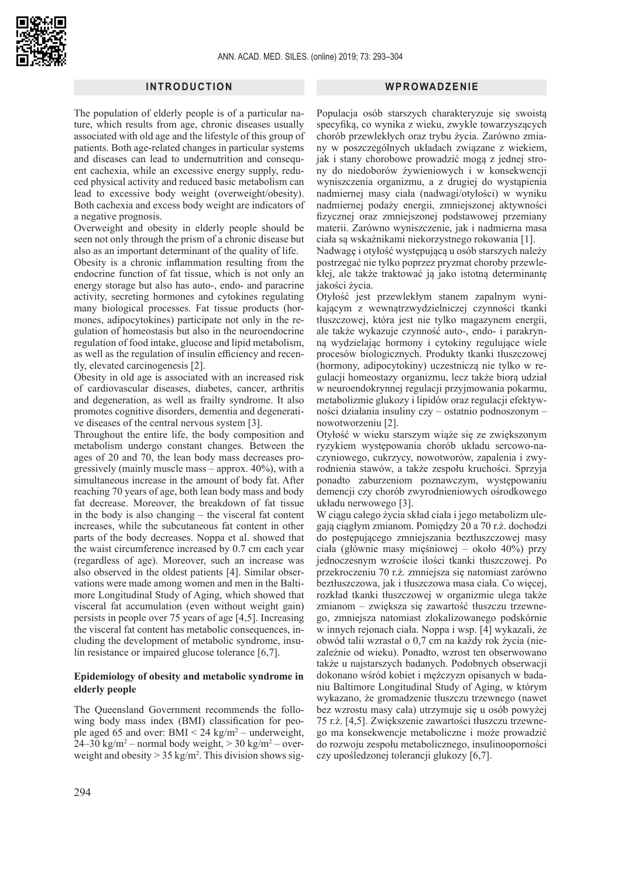#### **INTRODUCTION**

The population of elderly people is of a particular nature, which results from age, chronic diseases usually associated with old age and the lifestyle of this group of patients. Both age-related changes in particular systems and diseases can lead to undernutrition and consequent cachexia, while an excessive energy supply, reduced physical activity and reduced basic metabolism can lead to excessive body weight (overweight/obesity). Both cachexia and excess body weight are indicators of a negative prognosis.

Overweight and obesity in elderly people should be seen not only through the prism of a chronic disease but also as an important determinant of the quality of life.

Obesity is a chronic inflammation resulting from the endocrine function of fat tissue, which is not only an energy storage but also has auto-, endo- and paracrine activity, secreting hormones and cytokines regulating many biological processes. Fat tissue products (hormones, adipocytokines) participate not only in the regulation of homeostasis but also in the neuroendocrine regulation of food intake, glucose and lipid metabolism, as well as the regulation of insulin efficiency and recently, elevated carcinogenesis [2].

Obesity in old age is associated with an increased risk of cardiovascular diseases, diabetes, cancer, arthritis and degeneration, as well as frailty syndrome. It also promotes cognitive disorders, dementia and degenerative diseases of the central nervous system [3].

Throughout the entire life, the body composition and metabolism undergo constant changes. Between the ages of 20 and 70, the lean body mass decreases progressively (mainly muscle mass – approx. 40%), with a simultaneous increase in the amount of body fat. After reaching 70 years of age, both lean body mass and body fat decrease. Moreover, the breakdown of fat tissue in the body is also changing – the visceral fat content increases, while the subcutaneous fat content in other parts of the body decreases. Noppa et al. showed that the waist circumference increased by 0.7 cm each year (regardless of age). Moreover, such an increase was also observed in the oldest patients [4]. Similar observations were made among women and men in the Baltimore Longitudinal Study of Aging, which showed that visceral fat accumulation (even without weight gain) persists in people over 75 years of age [4,5]. Increasing the visceral fat content has metabolic consequences, including the development of metabolic syndrome, insulin resistance or impaired glucose tolerance [6,7].

# **Epidemiology of obesity and metabolic syndrome in elderly people**

The Queensland Government recommends the following body mass index (BMI) classification for people aged 65 and over: BMI  $\leq$  24 kg/m<sup>2</sup> – underweight, 24–30 kg/m<sup>2</sup> – normal body weight,  $>$  30 kg/m<sup>2</sup> – overweight and obesity  $> 35 \text{ kg/m}^2$ . This division shows sig-

#### **WPROWADZENIE**

Populacja osób starszych charakteryzuje się swoistą specyfiką, co wynika z wieku, zwykle towarzyszących chorób przewlekłych oraz trybu życia. Zarówno zmiany w poszczególnych układach związane z wiekiem, jak i stany chorobowe prowadzić mogą z jednej strony do niedoborów żywieniowych i w konsekwencji wyniszczenia organizmu, a z drugiej do wystąpienia nadmiernej masy ciała (nadwagi/otyłości) w wyniku nadmiernej podaży energii, zmniejszonej aktywności fizycznej oraz zmniejszonej podstawowej przemiany materii. Zarówno wyniszczenie, jak i nadmierna masa ciała są wskaźnikami niekorzystnego rokowania [1].

Nadwagę i otyłość występującą u osób starszych należy postrzegać nie tylko poprzez pryzmat choroby przewlekłej, ale także traktować ją jako istotną determinantę jakości życia.

Otyłość jest przewlekłym stanem zapalnym wynikającym z wewnątrzwydzielniczej czynności tkanki tłuszczowej, która jest nie tylko magazynem energii, ale także wykazuje czynność auto-, endo- i parakrynną wydzielając hormony i cytokiny regulujące wiele procesów biologicznych. Produkty tkanki tłuszczowej (hormony, adipocytokiny) uczestniczą nie tylko w regulacji homeostazy organizmu, lecz także biorą udział w neuroendokrynnej regulacji przyjmowania pokarmu, metabolizmie glukozy i lipidów oraz regulacji efektywności działania insuliny czy – ostatnio podnoszonym – nowotworzeniu [2].

Otyłość w wieku starszym wiąże się ze zwiększonym ryzykiem występowania chorób układu sercowo-naczyniowego, cukrzycy, nowotworów, zapalenia i zwyrodnienia stawów, a także zespołu kruchości. Sprzyja ponadto zaburzeniom poznawczym, występowaniu demencji czy chorób zwyrodnieniowych ośrodkowego układu nerwowego [3].

W ciągu całego życia skład ciała i jego metabolizm ulegają ciągłym zmianom. Pomiędzy 20 a 70 r.ż. dochodzi do postępującego zmniejszania beztłuszczowej masy ciała (głównie masy mięśniowej – około 40%) przy jednoczesnym wzroście ilości tkanki tłuszczowej. Po przekroczeniu 70 r.ż. zmniejsza się natomiast zarówno beztłuszczowa, jak i tłuszczowa masa ciała. Co więcej, rozkład tkanki tłuszczowej w organizmie ulega także zmianom – zwiększa się zawartość tłuszczu trzewnego, zmniejsza natomiast zlokalizowanego podskórnie w innych rejonach ciała. Noppa i wsp. [4] wykazali, że obwód talii wzrastał o 0,7 cm na każdy rok życia (niezależnie od wieku). Ponadto, wzrost ten obserwowano także u najstarszych badanych. Podobnych obserwacji dokonano wśród kobiet i mężczyzn opisanych w badaniu Baltimore Longitudinal Study of Aging, w którym wykazano, że gromadzenie tłuszczu trzewnego (nawet bez wzrostu masy cała) utrzymuje się u osób powyżej 75 r.ż. [4,5]. Zwiększenie zawartości tłuszczu trzewnego ma konsekwencje metaboliczne i może prowadzić do rozwoju zespołu metabolicznego, insulinooporności czy upośledzonej tolerancji glukozy [6,7].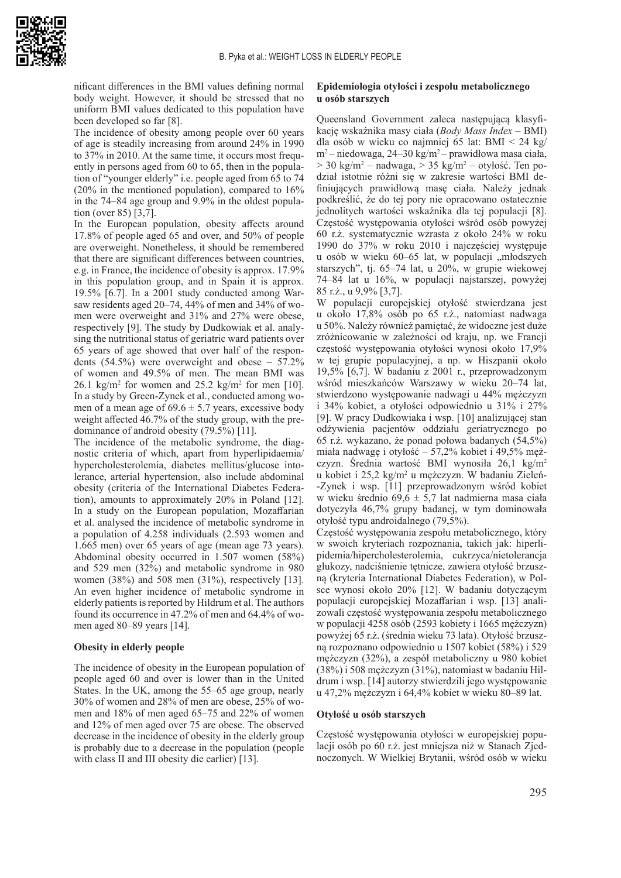

nificant differences in the BMI values defining normal body weight. However, it should be stressed that no uniform BMI values dedicated to this population have been developed so far [8].

The incidence of obesity among people over 60 years of age is steadily increasing from around 24% in 1990 to 37% in 2010. At the same time, it occurs most frequently in persons aged from 60 to 65, then in the population of "younger elderly" i.e. people aged from 65 to 74 (20% in the mentioned population), compared to 16% in the 74–84 age group and 9.9% in the oldest population (over 85) [3,7].

In the European population, obesity affects around 17.8% of people aged 65 and over, and 50% of people are overweight. Nonetheless, it should be remembered that there are significant differences between countries, e.g. in France, the incidence of obesity is approx. 17.9% in this population group, and in Spain it is approx. 19.5% [6.7]. In a 2001 study conducted among Warsaw residents aged 20–74, 44% of men and 34% of women were overweight and 31% and 27% were obese, respectively [9]. The study by Dudkowiak et al. analysing the nutritional status of geriatric ward patients over 65 years of age showed that over half of the respondents (54.5%) were overweight and obese – 57.2% of women and 49.5% of men. The mean BMI was  $26.1 \text{ kg/m}^2$  for women and  $25.2 \text{ kg/m}^2$  for men [10]. In a study by Green-Zynek et al., conducted among women of a mean age of  $69.6 \pm 5.7$  years, excessive body weight affected 46.7% of the study group, with the predominance of android obesity (79.5%) [11].

The incidence of the metabolic syndrome, the diagnostic criteria of which, apart from hyperlipidaemia/ hypercholesterolemia, diabetes mellitus/glucose intolerance, arterial hypertension, also include abdominal obesity (criteria of the International Diabetes Federation), amounts to approximately 20% in Poland [12]. In a study on the European population, Mozaffarian et al. analysed the incidence of metabolic syndrome in a population of 4.258 individuals (2.593 women and 1.665 men) over 65 years of age (mean age 73 years). Abdominal obesity occurred in 1.507 women (58%) and 529 men (32%) and metabolic syndrome in 980 women (38%) and 508 men (31%), respectively [13]. An even higher incidence of metabolic syndrome in elderly patients is reported by Hildrum et al. The authors found its occurrence in 47.2% of men and 64.4% of women aged 80–89 years [14].

#### **Obesity in elderly people**

The incidence of obesity in the European population of people aged 60 and over is lower than in the United States. In the UK, among the 55–65 age group, nearly 30% of women and 28% of men are obese, 25% of women and 18% of men aged 65–75 and 22% of women and 12% of men aged over 75 are obese. The observed decrease in the incidence of obesity in the elderly group is probably due to a decrease in the population (people with class II and III obesity die earlier) [13].

#### **Epidemiologia otyłości i zespołu metabolicznego u osób starszych**

Queensland Government zaleca następującą klasyfikację wskaźnika masy ciała (*Body Mass Index* – BMI) dla osób w wieku co najmniej 65 lat: BMI < 24 kg/ m2 – niedowaga, 24–30 kg/m<sup>2</sup>– prawidłowa masa ciała,  $>$  30 kg/m<sup>2</sup> – nadwaga,  $>$  35 kg/m<sup>2</sup> – otyłość. Ten podział istotnie różni się w zakresie wartości BMI definiujących prawidłową masę ciała. Należy jednak podkreślić, że do tej pory nie opracowano ostatecznie jednolitych wartości wskaźnika dla tej populacji [8]. Częstość występowania otyłości wśród osób powyżej 60 r.ż. systematycznie wzrasta z około 24% w roku 1990 do 37% w roku 2010 i najczęściej występuje u osób w wieku 60–65 lat, w populacji "młodszych starszych", tj. 65–74 lat, u 20%, w grupie wiekowej 74–84 lat u 16%, w populacji najstarszej, powyżej 85 r.ż., u 9,9% [3,7].

W populacji europejskiej otyłość stwierdzana jest u około 17,8% osób po 65 r.ż., natomiast nadwaga u 50%. Należy również pamiętać, że widoczne jest duże zróżnicowanie w zależności od kraju, np. we Francji częstość występowania otyłości wynosi około 17,9% w tej grupie populacyjnej, a np. w Hiszpanii około 19,5% [6,7]. W badaniu z 2001 r., przeprowadzonym wśród mieszkańców Warszawy w wieku 20–74 lat, stwierdzono występowanie nadwagi u 44% mężczyzn i 34% kobiet, a otyłości odpowiednio u 31% i 27% [9]. W pracy Dudkowiaka i wsp. [10] analizującej stan odżywienia pacjentów oddziału geriatrycznego po 65 r.ż. wykazano, że ponad połowa badanych (54,5%) miała nadwagę i otyłość – 57,2% kobiet i 49,5% mężczyzn. Średnia wartość BMI wynosiła 26,1 kg/m<sup>2</sup> u kobiet i 25,2 kg/m<sup>2</sup> u mężczyzn. W badaniu Zieleń--Zynek i wsp. [11] przeprowadzonym wśród kobiet w wieku średnio 69,6 ± 5,7 lat nadmierna masa ciała dotyczyła 46,7% grupy badanej, w tym dominowała otyłość typu androidalnego (79,5%).

Częstość występowania zespołu metabolicznego, który w swoich kryteriach rozpoznania, takich jak: hiperlipidemia/hipercholesterolemia, cukrzyca/nietolerancja glukozy, nadciśnienie tętnicze, zawiera otyłość brzuszną (kryteria International Diabetes Federation), w Polsce wynosi około 20% [12]. W badaniu dotyczącym populacji europejskiej Mozaffarian i wsp. [13] analizowali częstość występowania zespołu metabolicznego w populacji 4258 osób (2593 kobiety i 1665 mężczyzn) powyżej 65 r.ż. (średnia wieku 73 lata). Otyłość brzuszną rozpoznano odpowiednio u 1507 kobiet (58%) i 529 mężczyzn (32%), a zespół metaboliczny u 980 kobiet (38%) i 508 mężczyzn (31%), natomiast w badaniu Hildrum i wsp. [14] autorzy stwierdzili jego występowanie u 47,2% mężczyzn i 64,4% kobiet w wieku 80–89 lat.

#### **Otyłość u osób starszych**

Częstość występowania otyłości w europejskiej populacji osób po 60 r.ż. jest mniejsza niż w Stanach Zjednoczonych. W Wielkiej Brytanii, wśród osób w wieku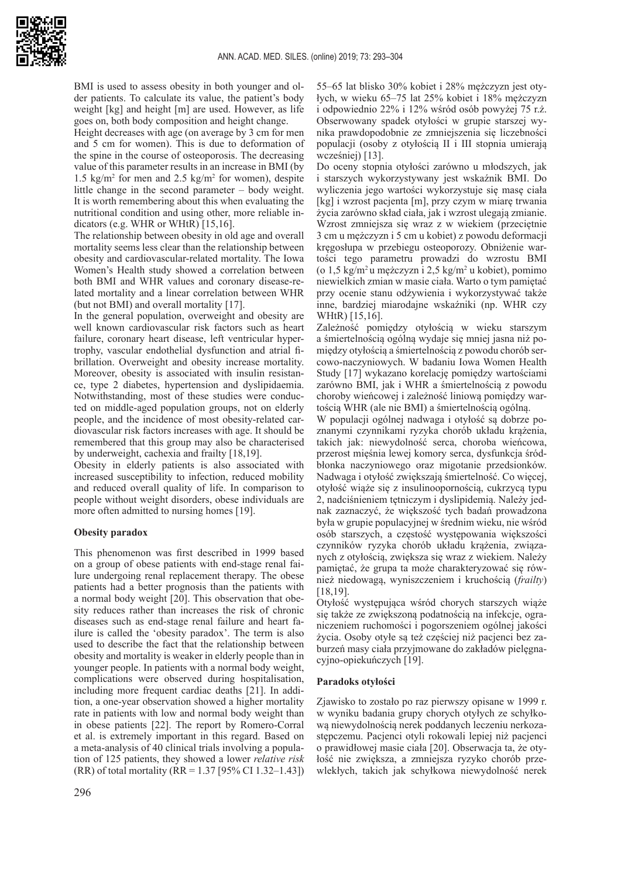

BMI is used to assess obesity in both younger and older patients. To calculate its value, the patient's body weight [kg] and height [m] are used. However, as life goes on, both body composition and height change.

Height decreases with age (on average by 3 cm for men and 5 cm for women). This is due to deformation of the spine in the course of osteoporosis. The decreasing value of this parameter results in an increase in BMI (by 1.5  $\text{kg/m}^2$  for men and 2.5  $\text{kg/m}^2$  for women), despite little change in the second parameter – body weight. It is worth remembering about this when evaluating the nutritional condition and using other, more reliable indicators (e.g. WHR or WHtR) [15,16].

The relationship between obesity in old age and overall mortality seems less clear than the relationship between obesity and cardiovascular-related mortality. The Iowa Women's Health study showed a correlation between both BMI and WHR values and coronary disease-related mortality and a linear correlation between WHR (but not BMI) and overall mortality [17].

In the general population, overweight and obesity are well known cardiovascular risk factors such as heart failure, coronary heart disease, left ventricular hypertrophy, vascular endothelial dysfunction and atrial fibrillation. Overweight and obesity increase mortality. Moreover, obesity is associated with insulin resistance, type 2 diabetes, hypertension and dyslipidaemia. Notwithstanding, most of these studies were conducted on middle-aged population groups, not on elderly people, and the incidence of most obesity-related cardiovascular risk factors increases with age. It should be remembered that this group may also be characterised by underweight, cachexia and frailty [18,19].

Obesity in elderly patients is also associated with increased susceptibility to infection, reduced mobility and reduced overall quality of life. In comparison to people without weight disorders, obese individuals are more often admitted to nursing homes [19].

# **Obesity paradox**

This phenomenon was first described in 1999 based on a group of obese patients with end-stage renal failure undergoing renal replacement therapy. The obese patients had a better prognosis than the patients with a normal body weight [20]. This observation that obesity reduces rather than increases the risk of chronic diseases such as end-stage renal failure and heart failure is called the 'obesity paradox'. The term is also used to describe the fact that the relationship between obesity and mortality is weaker in elderly people than in younger people. In patients with a normal body weight, complications were observed during hospitalisation, including more frequent cardiac deaths [21]. In addition, a one-year observation showed a higher mortality rate in patients with low and normal body weight than in obese patients [22]. The report by Romero-Corral et al. is extremely important in this regard. Based on a meta-analysis of 40 clinical trials involving a population of 125 patients, they showed a lower *relative risk*  $(RR)$  of total mortality  $(RR = 1.37$  [95% CI 1.32–1.43])

55–65 lat blisko 30% kobiet i 28% mężczyzn jest otyłych, w wieku 65–75 lat 25% kobiet i 18% mężczyzn i odpowiednio 22% i 12% wśród osób powyżej 75 r.ż. Obserwowany spadek otyłości w grupie starszej wynika prawdopodobnie ze zmniejszenia się liczebności populacji (osoby z otyłością II i III stopnia umierają wcześniej) [13].

Do oceny stopnia otyłości zarówno u młodszych, jak i starszych wykorzystywany jest wskaźnik BMI. Do wyliczenia jego wartości wykorzystuje się masę ciała [kg] i wzrost pacjenta [m], przy czym w miarę trwania życia zarówno skład ciała, jak i wzrost ulegają zmianie. Wzrost zmniejsza się wraz z w wiekiem (przeciętnie 3 cm u mężczyzn i 5 cm u kobiet) z powodu deformacji kręgosłupa w przebiegu osteoporozy. Obniżenie wartości tego parametru prowadzi do wzrostu BMI (o  $1,5 \text{ kg/m}^2$ u mężczyzn i  $2,5 \text{ kg/m}^2$  u kobiet), pomimo niewielkich zmian w masie ciała. Warto o tym pamiętać przy ocenie stanu odżywienia i wykorzystywać także inne, bardziej miarodajne wskaźniki (np. WHR czy WHtR) [15,16].

Zależność pomiędzy otyłością w wieku starszym a śmiertelnością ogólną wydaje się mniej jasna niż pomiędzy otyłością a śmiertelnością z powodu chorób sercowo-naczyniowych. W badaniu Iowa Women Health Study [17] wykazano korelację pomiędzy wartościami zarówno BMI, jak i WHR a śmiertelnością z powodu choroby wieńcowej i zależność liniową pomiędzy wartością WHR (ale nie BMI) a śmiertelnością ogólną.

W populacji ogólnej nadwaga i otyłość są dobrze poznanymi czynnikami ryzyka chorób układu krążenia, takich jak: niewydolność serca, choroba wieńcowa, przerost mięśnia lewej komory serca, dysfunkcja śródbłonka naczyniowego oraz migotanie przedsionków. Nadwaga i otyłość zwiększają śmiertelność. Co więcej, otyłość wiąże się z insulinoopornością, cukrzycą typu 2, nadciśnieniem tętniczym i dyslipidemią. Należy jednak zaznaczyć, że większość tych badań prowadzona była w grupie populacyjnej w średnim wieku, nie wśród osób starszych, a częstość występowania większości czynników ryzyka chorób układu krążenia, związanych z otyłością, zwiększa się wraz z wiekiem. Należy pamiętać, że grupa ta może charakteryzować się również niedowagą, wyniszczeniem i kruchością (*frailty*) [18,19].

Otyłość występująca wśród chorych starszych wiąże się także ze zwiększoną podatnością na infekcje, ograniczeniem ruchomości i pogorszeniem ogólnej jakości życia. Osoby otyłe są też częściej niż pacjenci bez zaburzeń masy ciała przyjmowane do zakładów pielęgnacyjno-opiekuńczych [19].

# **Paradoks otyłości**

Zjawisko to zostało po raz pierwszy opisane w 1999 r. w wyniku badania grupy chorych otyłych ze schyłkową niewydolnością nerek poddanych leczeniu nerkozastępczemu. Pacjenci otyli rokowali lepiej niż pacjenci o prawidłowej masie ciała [20]. Obserwacja ta, że otyłość nie zwiększa, a zmniejsza ryzyko chorób przewlekłych, takich jak schyłkowa niewydolność nerek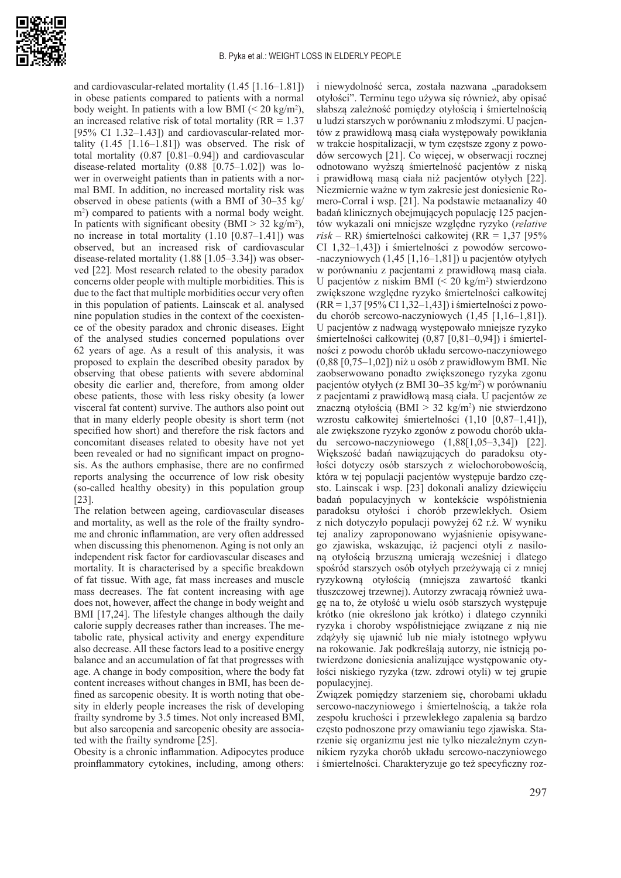

and cardiovascular-related mortality (1.45 [1.16–1.81]) in obese patients compared to patients with a normal body weight. In patients with a low BMI  $(< 20 \text{ kg/m}^2)$ , an increased relative risk of total mortality ( $RR = 1.37$ ) [95% CI 1.32–1.43]) and cardiovascular-related mortality  $(1.45 \t[1.16-1.81])$  was observed. The risk of total mortality (0.87 [0.81–0.94]) and cardiovascular disease-related mortality (0.88 [0.75–1.02]) was lower in overweight patients than in patients with a normal BMI. In addition, no increased mortality risk was observed in obese patients (with a BMI of 30–35 kg/ m2 ) compared to patients with a normal body weight. In patients with significant obesity (BMI  $>$  32 kg/m<sup>2</sup>), no increase in total mortality  $(1.10 [0.87-1.41])$  was observed, but an increased risk of cardiovascular disease-related mortality (1.88 [1.05–3.34]) was observed [22]. Most research related to the obesity paradox concerns older people with multiple morbidities. This is due to the fact that multiple morbidities occur very often in this population of patients. Lainscak et al. analysed nine population studies in the context of the coexistence of the obesity paradox and chronic diseases. Eight of the analysed studies concerned populations over 62 years of age. As a result of this analysis, it was proposed to explain the described obesity paradox by observing that obese patients with severe abdominal obesity die earlier and, therefore, from among older obese patients, those with less risky obesity (a lower visceral fat content) survive. The authors also point out that in many elderly people obesity is short term (not specified how short) and therefore the risk factors and concomitant diseases related to obesity have not yet been revealed or had no significant impact on prognosis. As the authors emphasise, there are no confirmed reports analysing the occurrence of low risk obesity (so-called healthy obesity) in this population group [23].

The relation between ageing, cardiovascular diseases and mortality, as well as the role of the frailty syndrome and chronic inflammation, are very often addressed when discussing this phenomenon. Aging is not only an independent risk factor for cardiovascular diseases and mortality. It is characterised by a specific breakdown of fat tissue. With age, fat mass increases and muscle mass decreases. The fat content increasing with age does not, however, affect the change in body weight and BMI [17,24]. The lifestyle changes although the daily calorie supply decreases rather than increases. The metabolic rate, physical activity and energy expenditure also decrease. All these factors lead to a positive energy balance and an accumulation of fat that progresses with age. A change in body composition, where the body fat content increases without changes in BMI, has been defined as sarcopenic obesity. It is worth noting that obesity in elderly people increases the risk of developing frailty syndrome by 3.5 times. Not only increased BMI, but also sarcopenia and sarcopenic obesity are associated with the frailty syndrome [25].

Obesity is a chronic inflammation. Adipocytes produce proinflammatory cytokines, including, among others:

i niewydolność serca, została nazwana "paradoksem otyłości". Terminu tego używa się również, aby opisać słabszą zależność pomiędzy otyłością i śmiertelnością u ludzi starszych w porównaniu z młodszymi. U pacjentów z prawidłową masą ciała występowały powikłania w trakcie hospitalizacji, w tym częstsze zgony z powodów sercowych [21]. Co więcej, w obserwacji rocznej odnotowano wyższą śmiertelność pacjentów z niską i prawidłową masą ciała niż pacjentów otyłych [22]. Niezmiernie ważne w tym zakresie jest doniesienie Romero-Corral i wsp. [21]. Na podstawie metaanalizy 40 badań klinicznych obejmujących populację 125 pacjentów wykazali oni mniejsze względne ryzyko (*relative risk* – RR) śmiertelności całkowitej (RR = 1,37 [95% CI 1,32–1,43]) i śmiertelności z powodów sercowo- -naczyniowych (1,45 [1,16–1,81]) u pacjentów otyłych w porównaniu z pacjentami z prawidłową masą ciała. U pacjentów z niskim BMI (< 20 kg/m<sup>2</sup> ) stwierdzono zwiększone względne ryzyko śmiertelności całkowitej (RR = 1,37 [95% CI 1,32–1,43]) i śmiertelności z powodu chorób sercowo-naczyniowych (1,45 [1,16–1,81]). U pacjentów z nadwagą występowało mniejsze ryzyko śmiertelności całkowitej (0,87 [0,81–0,94]) i śmiertelności z powodu chorób układu sercowo-naczyniowego (0,88 [0,75–1,02]) niż u osób z prawidłowym BMI. Nie zaobserwowano ponadto zwiększonego ryzyka zgonu pacjentów otyłych (z BMI 30–35 kg/m<sup>2</sup>) w porównaniu z pacjentami z prawidłową masą ciała. U pacjentów ze znaczną otyłością (BMI > 32 kg/m<sup>2</sup>) nie stwierdzono wzrostu całkowitej śmiertelności (1,10 [0,87–1,41]), ale zwiększone ryzyko zgonów z powodu chorób układu sercowo-naczyniowego (1,88[1,05–3,34]) [22]. Większość badań nawiązujących do paradoksu otyłości dotyczy osób starszych z wielochorobowością, która w tej populacji pacjentów występuje bardzo często. Lainscak i wsp. [23] dokonali analizy dziewięciu badań populacyjnych w kontekście współistnienia paradoksu otyłości i chorób przewlekłych. Osiem z nich dotyczyło populacji powyżej 62 r.ż. W wyniku tej analizy zaproponowano wyjaśnienie opisywanego zjawiska, wskazując, iż pacjenci otyli z nasiloną otyłością brzuszną umierają wcześniej i dlatego spośród starszych osób otyłych przeżywają ci z mniej ryzykowną otyłością (mniejsza zawartość tkanki tłuszczowej trzewnej). Autorzy zwracają również uwagę na to, że otyłość u wielu osób starszych występuje krótko (nie określono jak krótko) i dlatego czynniki ryzyka i choroby współistniejące związane z nią nie zdążyły się ujawnić lub nie miały istotnego wpływu na rokowanie. Jak podkreślają autorzy, nie istnieją potwierdzone doniesienia analizujące występowanie otyłości niskiego ryzyka (tzw. zdrowi otyli) w tej grupie populacyjnej.

Związek pomiędzy starzeniem się, chorobami układu sercowo-naczyniowego i śmiertelnością, a także rola zespołu kruchości i przewlekłego zapalenia są bardzo często podnoszone przy omawianiu tego zjawiska. Starzenie się organizmu jest nie tylko niezależnym czynnikiem ryzyka chorób układu sercowo-naczyniowego i śmiertelności. Charakteryzuje go też specyficzny roz-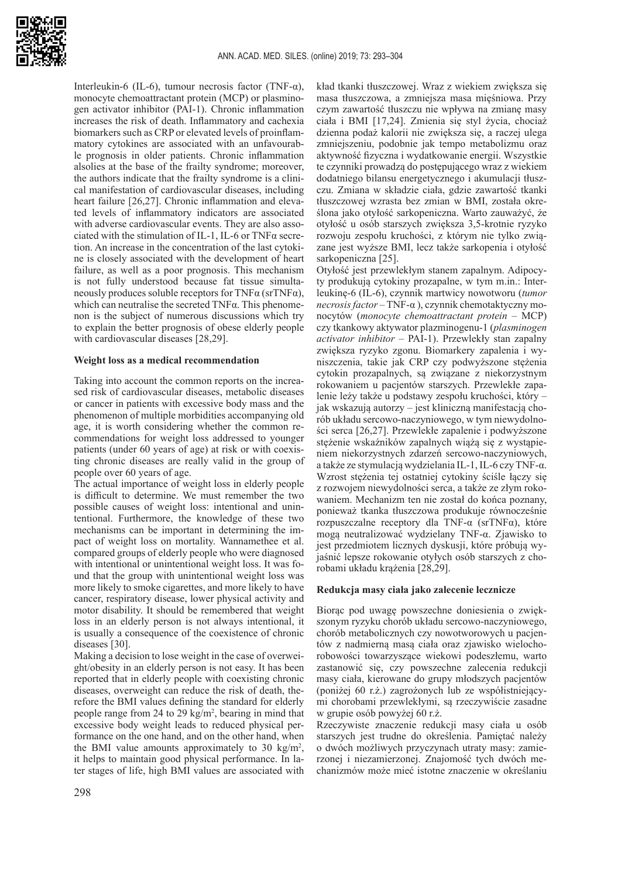

Interleukin-6 (IL-6), tumour necrosis factor (TNF- $\alpha$ ), monocyte chemoattractant protein (MCP) or plasminogen activator inhibitor (PAI-1). Chronic inflammation increases the risk of death. Inflammatory and cachexia biomarkers such as CRP or elevated levels of proinflammatory cytokines are associated with an unfavourable prognosis in older patients. Chronic inflammation alsolies at the base of the frailty syndrome; moreover, the authors indicate that the frailty syndrome is a clinical manifestation of cardiovascular diseases, including heart failure [26,27]. Chronic inflammation and elevated levels of inflammatory indicators are associated with adverse cardiovascular events. They are also associated with the stimulation of IL-1, IL-6 or TNFα secretion. An increase in the concentration of the last cytokine is closely associated with the development of heart failure, as well as a poor prognosis. This mechanism is not fully understood because fat tissue simultaneously produces soluble receptors for TNF $\alpha$  (srTNF $\alpha$ ), which can neutralise the secreted  $TNF\alpha$ . This phenomenon is the subject of numerous discussions which try to explain the better prognosis of obese elderly people with cardiovascular diseases [28,29].

#### **Weight loss as a medical recommendation**

Taking into account the common reports on the increased risk of cardiovascular diseases, metabolic diseases or cancer in patients with excessive body mass and the phenomenon of multiple morbidities accompanying old age, it is worth considering whether the common recommendations for weight loss addressed to younger patients (under 60 years of age) at risk or with coexisting chronic diseases are really valid in the group of people over 60 years of age.

The actual importance of weight loss in elderly people is difficult to determine. We must remember the two possible causes of weight loss: intentional and unintentional. Furthermore, the knowledge of these two mechanisms can be important in determining the impact of weight loss on mortality. Wannamethee et al. compared groups of elderly people who were diagnosed with intentional or unintentional weight loss. It was found that the group with unintentional weight loss was more likely to smoke cigarettes, and more likely to have cancer, respiratory disease, lower physical activity and motor disability. It should be remembered that weight loss in an elderly person is not always intentional, it is usually a consequence of the coexistence of chronic diseases [30].

Making a decision to lose weight in the case of overweight/obesity in an elderly person is not easy. It has been reported that in elderly people with coexisting chronic diseases, overweight can reduce the risk of death, therefore the BMI values defining the standard for elderly people range from 24 to 29 kg/m<sup>2</sup>, bearing in mind that excessive body weight leads to reduced physical performance on the one hand, and on the other hand, when the BMI value amounts approximately to 30 kg/m<sup>2</sup>, it helps to maintain good physical performance. In later stages of life, high BMI values are associated with

kład tkanki tłuszczowej. Wraz z wiekiem zwiększa się masa tłuszczowa, a zmniejsza masa mięśniowa. Przy czym zawartość tłuszczu nie wpływa na zmianę masy ciała i BMI [17,24]. Zmienia się styl życia, chociaż dzienna podaż kalorii nie zwiększa się, a raczej ulega zmniejszeniu, podobnie jak tempo metabolizmu oraz aktywność fizyczna i wydatkowanie energii. Wszystkie te czynniki prowadzą do postępującego wraz z wiekiem dodatniego bilansu energetycznego i akumulacji tłuszczu. Zmiana w składzie ciała, gdzie zawartość tkanki tłuszczowej wzrasta bez zmian w BMI, została określona jako otyłość sarkopeniczna. Warto zauważyć, że otyłość u osób starszych zwiększa 3,5-krotnie ryzyko rozwoju zespołu kruchości, z którym nie tylko związane jest wyższe BMI, lecz także sarkopenia i otyłość sarkopeniczna [25].

Otyłość jest przewlekłym stanem zapalnym. Adipocyty produkują cytokiny prozapalne, w tym m.in.: Interleukinę-6 (IL-6), czynnik martwicy nowotworu (*tumor necrosis factor* – TNF-α ), czynnik chemotaktyczny monocytów (*monocyte chemoattractant protein* – MCP) czy tkankowy aktywator plazminogenu-1 (*plasminogen activator inhibitor* – PAI-1). Przewlekły stan zapalny zwiększa ryzyko zgonu. Biomarkery zapalenia i wyniszczenia, takie jak CRP czy podwyższone stężenia cytokin prozapalnych, są związane z niekorzystnym rokowaniem u pacjentów starszych. Przewlekłe zapalenie leży także u podstawy zespołu kruchości, który – jak wskazują autorzy – jest kliniczną manifestacją chorób układu sercowo-naczyniowego, w tym niewydolności serca [26,27]. Przewlekłe zapalenie i podwyższone stężenie wskaźników zapalnych wiążą się z wystąpieniem niekorzystnych zdarzeń sercowo-naczyniowych, a także ze stymulacją wydzielania IL-1, IL-6 czy TNF-α. Wzrost stężenia tej ostatniej cytokiny ściśle łączy się z rozwojem niewydolności serca, a także ze złym rokowaniem. Mechanizm ten nie został do końca poznany, ponieważ tkanka tłuszczowa produkuje równocześnie rozpuszczalne receptory dla TNF-α (srTNFα), które mogą neutralizować wydzielany TNF-α. Zjawisko to jest przedmiotem licznych dyskusji, które próbują wyjaśnić lepsze rokowanie otyłych osób starszych z chorobami układu krążenia [28,29].

#### **Redukcja masy ciała jako zalecenie lecznicze**

Biorąc pod uwagę powszechne doniesienia o zwiększonym ryzyku chorób układu sercowo-naczyniowego, chorób metabolicznych czy nowotworowych u pacjentów z nadmierną masą ciała oraz zjawisko wielochorobowości towarzyszące wiekowi podeszłemu, warto zastanowić się, czy powszechne zalecenia redukcji masy ciała, kierowane do grupy młodszych pacjentów (poniżej 60 r.ż.) zagrożonych lub ze współistniejącymi chorobami przewlekłymi, są rzeczywiście zasadne w grupie osób powyżej 60 r.ż.

Rzeczywiste znaczenie redukcji masy ciała u osób starszych jest trudne do określenia. Pamiętać należy o dwóch możliwych przyczynach utraty masy: zamierzonej i niezamierzonej. Znajomość tych dwóch mechanizmów może mieć istotne znaczenie w określaniu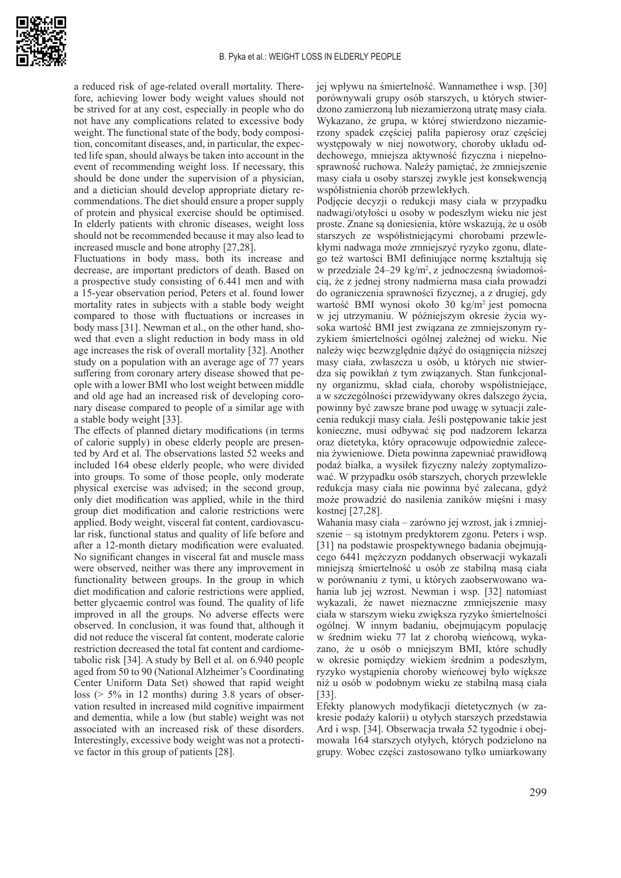

a reduced risk of age-related overall mortality. Therefore, achieving lower body weight values should not be strived for at any cost, especially in people who do not have any complications related to excessive body weight. The functional state of the body, body composition, concomitant diseases, and, in particular, the expected life span, should always be taken into account in the event of recommending weight loss. If necessary, this should be done under the supervision of a physician, and a dietician should develop appropriate dietary recommendations. The diet should ensure a proper supply of protein and physical exercise should be optimised. In elderly patients with chronic diseases, weight loss should not be recommended because it may also lead to increased muscle and bone atrophy [27,28].

Fluctuations in body mass, both its increase and decrease, are important predictors of death. Based on a prospective study consisting of 6.441 men and with a 15-year observation period, Peters et al. found lower mortality rates in subjects with a stable body weight compared to those with fluctuations or increases in body mass [31]. Newman et al., on the other hand, showed that even a slight reduction in body mass in old age increases the risk of overall mortality [32]. Another study on a population with an average age of 77 years suffering from coronary artery disease showed that people with a lower BMI who lost weight between middle and old age had an increased risk of developing coronary disease compared to people of a similar age with a stable body weight [33].

The effects of planned dietary modifications (in terms of calorie supply) in obese elderly people are presented by Ard et al. The observations lasted 52 weeks and included 164 obese elderly people, who were divided into groups. To some of those people, only moderate physical exercise was advised; in the second group, only diet modification was applied, while in the third group diet modification and calorie restrictions were applied. Body weight, visceral fat content, cardiovascular risk, functional status and quality of life before and after a 12-month dietary modification were evaluated. No significant changes in visceral fat and muscle mass were observed, neither was there any improvement in functionality between groups. In the group in which diet modification and calorie restrictions were applied, better glycaemic control was found. The quality of life improved in all the groups. No adverse effects were observed. In conclusion, it was found that, although it did not reduce the visceral fat content, moderate calorie restriction decreased the total fat content and cardiometabolic risk [34]. A study by Bell et al. on 6.940 people aged from 50 to 90 (National Alzheimer's Coordinating Center Uniform Data Set) showed that rapid weight loss (> 5% in 12 months) during 3.8 years of observation resulted in increased mild cognitive impairment and dementia, while a low (but stable) weight was not associated with an increased risk of these disorders. Interestingly, excessive body weight was not a protective factor in this group of patients [28].

jej wpływu na śmiertelność. Wannamethee i wsp. [30] porównywali grupy osób starszych, u których stwierdzono zamierzoną lub niezamierzoną utratę masy ciała. Wykazano, że grupa, w której stwierdzono niezamierzony spadek częściej paliła papierosy oraz częściej występowały w niej nowotwory, choroby układu oddechowego, mniejsza aktywność fizyczna i niepełnosprawność ruchowa. Należy pamiętać, że zmniejszenie masy ciała u osoby starszej zwykle jest konsekwencją współistnienia chorób przewlekłych.

Podjęcie decyzji o redukcji masy ciała w przypadku nadwagi/otyłości u osoby w podeszłym wieku nie jest proste. Znane są doniesienia, które wskazują, że u osób starszych ze współistniejącymi chorobami przewlekłymi nadwaga może zmniejszyć ryzyko zgonu, dlatego też wartości BMI definiujące normę kształtują się w przedziale 24–29 kg/m<sup>2</sup> , z jednoczesną świadomością, że z jednej strony nadmierna masa ciała prowadzi do ograniczenia sprawności fizycznej, a z drugiej, gdy wartość BMI wynosi około 30 kg/m<sup>2</sup> jest pomocna w jej utrzymaniu. W późniejszym okresie życia wysoka wartość BMI jest związana ze zmniejszonym ryzykiem śmiertelności ogólnej zależnej od wieku. Nie należy więc bezwzględnie dążyć do osiągnięcia niższej masy ciała, zwłaszcza u osób, u których nie stwierdza się powikłań z tym związanych. Stan funkcjonalny organizmu, skład ciała, choroby współistniejące, a w szczególności przewidywany okres dalszego życia, powinny być zawsze brane pod uwagę w sytuacji zalecenia redukcji masy ciała. Jeśli postępowanie takie jest konieczne, musi odbywać się pod nadzorem lekarza oraz dietetyka, który opracowuje odpowiednie zalecenia żywieniowe. Dieta powinna zapewniać prawidłową podaż białka, a wysiłek fizyczny należy zoptymalizować. W przypadku osób starszych, chorych przewlekle redukcja masy ciała nie powinna być zalecana, gdyż może prowadzić do nasilenia zaników mięśni i masy kostnej [27,28].

Wahania masy ciała – zarówno jej wzrost, jak i zmniejszenie – są istotnym predyktorem zgonu. Peters i wsp. [31] na podstawie prospektywnego badania obejmującego 6441 mężczyzn poddanych obserwacji wykazali mniejszą śmiertelność u osób ze stabilną masą ciała w porównaniu z tymi, u których zaobserwowano wahania lub jej wzrost. Newman i wsp. [32] natomiast wykazali, że nawet nieznaczne zmniejszenie masy ciała w starszym wieku zwiększa ryzyko śmiertelności ogólnej. W innym badaniu, obejmującym populację w średnim wieku 77 lat z chorobą wieńcową, wykazano, że u osób o mniejszym BMI, które schudły w okresie pomiędzy wiekiem średnim a podeszłym, ryzyko wystąpienia choroby wieńcowej było większe niż u osób w podobnym wieku ze stabilną masą ciała [33].

Efekty planowych modyfikacji dietetycznych (w zakresie podaży kalorii) u otyłych starszych przedstawia Ard i wsp. [34]. Obserwacja trwała 52 tygodnie i obejmowała 164 starszych otyłych, których podzielono na grupy. Wobec części zastosowano tylko umiarkowany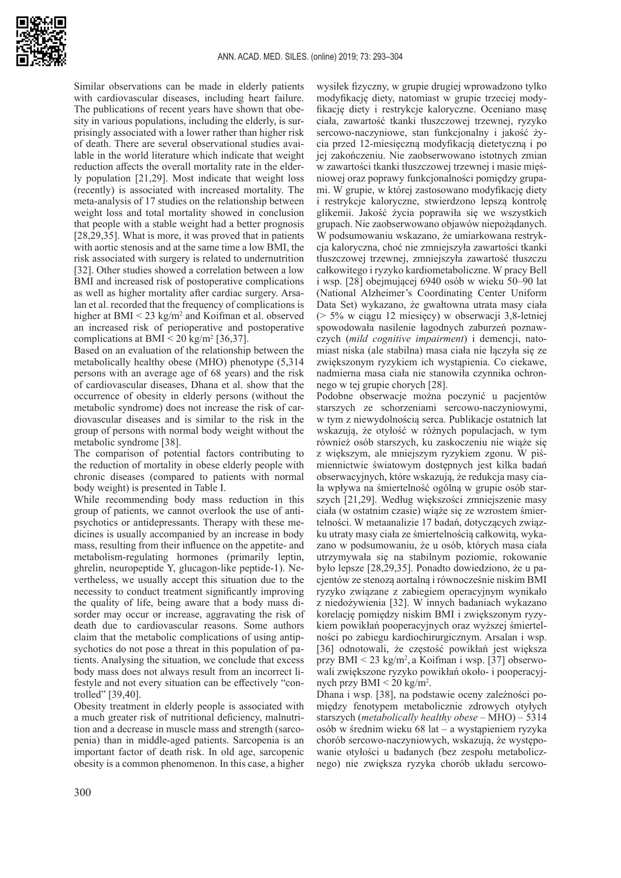

Similar observations can be made in elderly patients with cardiovascular diseases, including heart failure. The publications of recent years have shown that obesity in various populations, including the elderly, is surprisingly associated with a lower rather than higher risk of death. There are several observational studies available in the world literature which indicate that weight reduction affects the overall mortality rate in the elderly population [21,29]. Most indicate that weight loss (recently) is associated with increased mortality. The meta-analysis of 17 studies on the relationship between weight loss and total mortality showed in conclusion that people with a stable weight had a better prognosis [28,29,35]. What is more, it was proved that in patients with aortic stenosis and at the same time a low BMI, the risk associated with surgery is related to undernutrition [32]. Other studies showed a correlation between a low BMI and increased risk of postoperative complications as well as higher mortality after cardiac surgery. Arsalan et al. recorded that the frequency of complications is higher at  $BMI < 23$  kg/m<sup>2</sup> and Koifman et al. observed an increased risk of perioperative and postoperative complications at BMI  $\leq$  20 kg/m<sup>2</sup> [36,37].

Based on an evaluation of the relationship between the metabolically healthy obese (MHO) phenotype (5,314 persons with an average age of 68 years) and the risk of cardiovascular diseases, Dhana et al. show that the occurrence of obesity in elderly persons (without the metabolic syndrome) does not increase the risk of cardiovascular diseases and is similar to the risk in the group of persons with normal body weight without the metabolic syndrome [38].

The comparison of potential factors contributing to the reduction of mortality in obese elderly people with chronic diseases (compared to patients with normal body weight) is presented in Table I.

While recommending body mass reduction in this group of patients, we cannot overlook the use of antipsychotics or antidepressants. Therapy with these medicines is usually accompanied by an increase in body mass, resulting from their influence on the appetite- and metabolism-regulating hormones (primarily leptin, ghrelin, neuropeptide Y, glucagon-like peptide-1). Nevertheless, we usually accept this situation due to the necessity to conduct treatment significantly improving the quality of life, being aware that a body mass disorder may occur or increase, aggravating the risk of death due to cardiovascular reasons. Some authors claim that the metabolic complications of using antipsychotics do not pose a threat in this population of patients. Analysing the situation, we conclude that excess body mass does not always result from an incorrect lifestyle and not every situation can be effectively "controlled" [39,40].

Obesity treatment in elderly people is associated with a much greater risk of nutritional deficiency, malnutrition and a decrease in muscle mass and strength (sarcopenia) than in middle-aged patients. Sarcopenia is an important factor of death risk. In old age, sarcopenic obesity is a common phenomenon. In this case, a higher

wysiłek fizyczny, w grupie drugiej wprowadzono tylko modyfikację diety, natomiast w grupie trzeciej modyfikację diety i restrykcje kaloryczne. Oceniano masę ciała, zawartość tkanki tłuszczowej trzewnej, ryzyko sercowo-naczyniowe, stan funkcjonalny i jakość życia przed 12-miesięczną modyfikacją dietetyczną i po jej zakończeniu. Nie zaobserwowano istotnych zmian w zawartości tkanki tłuszczowej trzewnej i masie mięśniowej oraz poprawy funkcjonalności pomiędzy grupami. W grupie, w której zastosowano modyfikację diety i restrykcje kaloryczne, stwierdzono lepszą kontrolę glikemii. Jakość życia poprawiła się we wszystkich grupach. Nie zaobserwowano objawów niepożądanych. W podsumowaniu wskazano, że umiarkowana restrykcja kaloryczna, choć nie zmniejszyła zawartości tkanki tłuszczowej trzewnej, zmniejszyła zawartość tłuszczu całkowitego i ryzyko kardiometaboliczne. W pracy Bell i wsp. [28] obejmującej 6940 osób w wieku 50–90 lat (National Alzheimer's Coordinating Center Uniform Data Set) wykazano, że gwałtowna utrata masy ciała (> 5% w ciągu 12 miesięcy) w obserwacji 3,8-letniej spowodowała nasilenie łagodnych zaburzeń poznawczych (*mild cognitive impairment*) i demencji, natomiast niska (ale stabilna) masa ciała nie łączyła się ze zwiększonym ryzykiem ich wystąpienia. Co ciekawe, nadmierna masa ciała nie stanowiła czynnika ochronnego w tej grupie chorych [28].

Podobne obserwacje można poczynić u pacjentów starszych ze schorzeniami sercowo-naczyniowymi, w tym z niewydolnością serca. Publikacje ostatnich lat wskazują, że otyłość w różnych populacjach, w tym również osób starszych, ku zaskoczeniu nie wiąże się z większym, ale mniejszym ryzykiem zgonu. W piśmiennictwie światowym dostępnych jest kilka badań obserwacyjnych, które wskazują, że redukcja masy ciała wpływa na śmiertelność ogólną w grupie osób starszych [21,29]. Według większości zmniejszenie masy ciała (w ostatnim czasie) wiąże się ze wzrostem śmiertelności. W metaanalizie 17 badań, dotyczących związku utraty masy ciała ze śmiertelnością całkowitą, wykazano w podsumowaniu, że u osób, których masa ciała utrzymywała się na stabilnym poziomie, rokowanie było lepsze [28,29,35]. Ponadto dowiedziono, że u pacjentów ze stenozą aortalną i równocześnie niskim BMI ryzyko związane z zabiegiem operacyjnym wynikało z niedożywienia [32]. W innych badaniach wykazano korelację pomiędzy niskim BMI i zwiększonym ryzykiem powikłań pooperacyjnych oraz wyższej śmiertelności po zabiegu kardiochirurgicznym. Arsalan i wsp. [36] odnotowali, że częstość powikłań jest większa przy BMI < 23 kg/m<sup>2</sup> , a Koifman i wsp. [37] obserwowali zwiększone ryzyko powikłań około- i pooperacyjnych przy BMI < 20 kg/m<sup>2</sup> .

Dhana i wsp. [38], na podstawie oceny zależności pomiędzy fenotypem metabolicznie zdrowych otyłych starszych (*metabolically healthy obese –* MHO) – 5314 osób w średnim wieku 68 lat – a wystąpieniem ryzyka chorób sercowo-naczyniowych, wskazują, że występowanie otyłości u badanych (bez zespołu metabolicznego) nie zwiększa ryzyka chorób układu sercowo-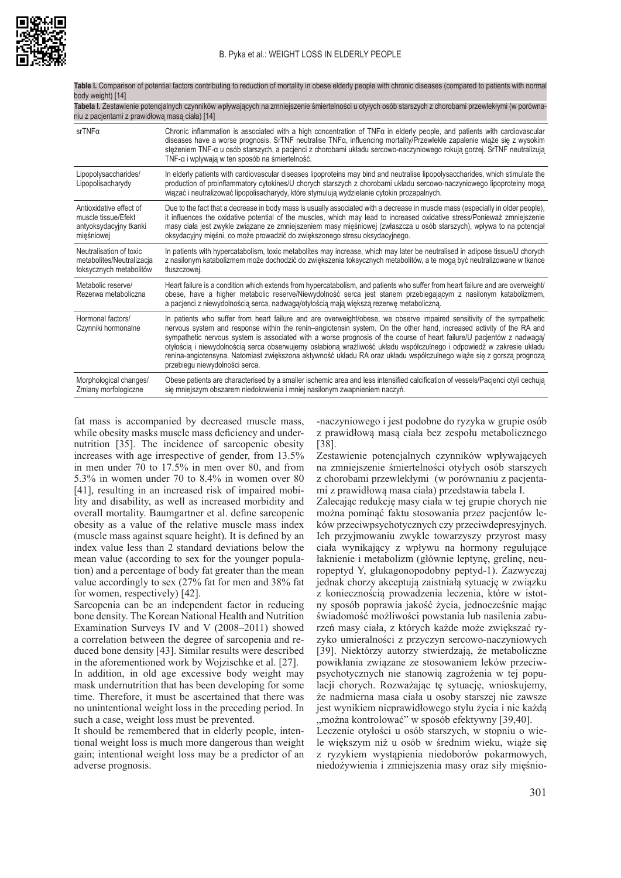

| DOQY Weight) [14]                                                                                                                                                                                        |                                                                                                                                                                                                                                                                                                                                                                                                                                                                     |  |
|----------------------------------------------------------------------------------------------------------------------------------------------------------------------------------------------------------|---------------------------------------------------------------------------------------------------------------------------------------------------------------------------------------------------------------------------------------------------------------------------------------------------------------------------------------------------------------------------------------------------------------------------------------------------------------------|--|
| Tabela I. Zestawienie potencjalnych czynników wpływających na zmniejszenie śmiertelności u otyłych osób starszych z chorobami przewlekłymi (w porówna-<br>niu z pacjentami z prawidłowa masa ciała) [14] |                                                                                                                                                                                                                                                                                                                                                                                                                                                                     |  |
| srTNFa                                                                                                                                                                                                   | Chronic inflammation is associated with a high concentration of TNFa in elderly people, and patients with cardiovascular<br>diseases have a worse prognosis. SrTNF neutralise TNFa, influencing mortality/Przewlekłe zapalenie wiąże się z wysokim<br>stężeniem TNF-a u osób starszych, a pacjenci z chorobami układu sercowo-naczyniowego rokują gorzej. SrTNF neutralizują<br>TNF-a i wpływają w ten sposób na śmiertelność.                                      |  |
| Lipopolysaccharides/<br>Lipopolisacharydy                                                                                                                                                                | In elderly patients with cardiovascular diseases lipoproteins may bind and neutralise lipopolysaccharides, which stimulate the<br>production of proinflammatory cytokines/U chorych starszych z chorobami układu sercowo-naczyniowego lipoproteiny moga<br>wiązać i neutralizować lipopolisacharydy, które stymulują wydzielanie cytokin prozapalnych.                                                                                                              |  |
| Antioxidative effect of<br>muscle tissue/Efekt<br>antyoksydacyjny tkanki<br>mięśniowej                                                                                                                   | Due to the fact that a decrease in body mass is usually associated with a decrease in muscle mass (especially in older people),<br>it influences the oxidative potential of the muscles, which may lead to increased oxidative stress/Ponieważ zmniejszenie<br>masy ciała jest zwykle związane ze zmniejszeniem masy mieśniowej (zwłaszcza u osób starszych), wpływa to na potencjał<br>oksydacyjny mieśni, co może prowadzić do zwiększonego stresu oksydacyjnego. |  |
| Neutralisation of toxic<br>metabolites/Neutralizacja<br>toksycznych metabolitów                                                                                                                          | In patients with hypercatabolism, toxic metabolites may increase, which may later be neutralised in adipose tissue/U chorych<br>z nasilonym katabolizmem może dochodzić do zwiekszenia toksycznych metabolitów, a te mogą być neutralizowane w tkance<br>tłuszczowej.                                                                                                                                                                                               |  |
| Metabolic reserve/<br>Rezerwa metaboliczna                                                                                                                                                               | Heart failure is a condition which extends from hypercatabolism, and patients who suffer from heart failure and are overweight<br>obese, have a higher metabolic reserve/Niewydolność serca jest stanem przebiegającym z nasilonym katabolizmem,                                                                                                                                                                                                                    |  |

Table I. Comparison of potential factors contributing to reduction of mortality in obese elderly people with chronic diseases (compared to patients with normal body weight) [14]

| NGLEI WA THELADUILLA IA                  | UUCSC, HAVC A HIYHCI HICIADUNG TESCHVE/MICWYUUNIUSG SCIGA JESI SIAHCHI DIZCUICYAJAGUYIH Z HASIIUHYIH NAIADUNZHICHI,<br>a pacjenci z niewydolnością serca, nadwagą/otyłością mają większą rezerwę metaboliczną.                                                                                                                                                                                                                                                                                                                                                                                                                                           |
|------------------------------------------|----------------------------------------------------------------------------------------------------------------------------------------------------------------------------------------------------------------------------------------------------------------------------------------------------------------------------------------------------------------------------------------------------------------------------------------------------------------------------------------------------------------------------------------------------------------------------------------------------------------------------------------------------------|
| Hormonal factors/<br>Czynniki hormonalne | In patients who suffer from heart failure and are overweight/obese, we observe impaired sensitivity of the sympathetic<br>nervous system and response within the renin-angiotensin system. On the other hand, increased activity of the RA and<br>sympathetic nervous system is associated with a worse prognosis of the course of heart failure/U pacjentów z nadwaga/<br>otyłością i niewydolnością serca obserwujemy osłabioną wrażliwość układu współczulnego i odpowiedź w zakresie układu<br>renina-angiotensyna. Natomiast zwiekszona aktywność układu RA oraz układu współczulnego wiąże się z gorszą prognozą<br>przebiegu niewydolności serca. |
| Morphological changes/                   | Obese patients are characterised by a smaller ischemic area and less intensified calcification of vessels/Pacjenci otyli cechuja                                                                                                                                                                                                                                                                                                                                                                                                                                                                                                                         |

się mniejszym obszarem niedokrwienia i mniej nasilonym zwapnieniem naczyń.

fat mass is accompanied by decreased muscle mass, while obesity masks muscle mass deficiency and undernutrition [35]. The incidence of sarcopenic obesity increases with age irrespective of gender, from 13.5% in men under 70 to 17.5% in men over 80, and from 5.3% in women under 70 to 8.4% in women over 80 [41], resulting in an increased risk of impaired mobility and disability, as well as increased morbidity and overall mortality. Baumgartner et al. define sarcopenic obesity as a value of the relative muscle mass index (muscle mass against square height). It is defined by an index value less than 2 standard deviations below the mean value (according to sex for the younger population) and a percentage of body fat greater than the mean value accordingly to sex (27% fat for men and 38% fat for women, respectively) [42].

Zmiany morfologiczne

Sarcopenia can be an independent factor in reducing bone density. The Korean National Health and Nutrition Examination Surveys IV and V (2008–2011) showed a correlation between the degree of sarcopenia and reduced bone density [43]. Similar results were described in the aforementioned work by Wojzischke et al. [27].

In addition, in old age excessive body weight may mask undernutrition that has been developing for some time. Therefore, it must be ascertained that there was no unintentional weight loss in the preceding period. In such a case, weight loss must be prevented.

It should be remembered that in elderly people, intentional weight loss is much more dangerous than weight gain; intentional weight loss may be a predictor of an adverse prognosis.

-naczyniowego i jest podobne do ryzyka w grupie osób z prawidłową masą ciała bez zespołu metabolicznego [38].

Zestawienie potencjalnych czynników wpływających na zmniejszenie śmiertelności otyłych osób starszych z chorobami przewlekłymi (w porównaniu z pacjentami z prawidłową masa ciała) przedstawia tabela I.

Zalecając redukcję masy ciała w tej grupie chorych nie można pominąć faktu stosowania przez pacjentów leków przeciwpsychotycznych czy przeciwdepresyjnych. Ich przyjmowaniu zwykle towarzyszy przyrost masy ciała wynikający z wpływu na hormony regulujące łaknienie i metabolizm (głównie leptynę, grelinę, neuropeptyd Y, glukagonopodobny peptyd-1). Zazwyczaj jednak chorzy akceptują zaistniałą sytuację w związku z koniecznością prowadzenia leczenia, które w istotny sposób poprawia jakość życia, jednocześnie mając świadomość możliwości powstania lub nasilenia zaburzeń masy ciała, z których każde może zwiększać ryzyko umieralności z przyczyn sercowo-naczyniowych [39]. Niektórzy autorzy stwierdzają, że metaboliczne powikłania związane ze stosowaniem leków przeciwpsychotycznych nie stanowią zagrożenia w tej populacji chorych. Rozważając tę sytuację, wnioskujemy, że nadmierna masa ciała u osoby starszej nie zawsze jest wynikiem nieprawidłowego stylu życia i nie każdą "można kontrolować" w sposób efektywny [39,40].

Leczenie otyłości u osób starszych, w stopniu o wiele większym niż u osób w średnim wieku, wiąże się z ryzykiem wystąpienia niedoborów pokarmowych, niedożywienia i zmniejszenia masy oraz siły mięśnio-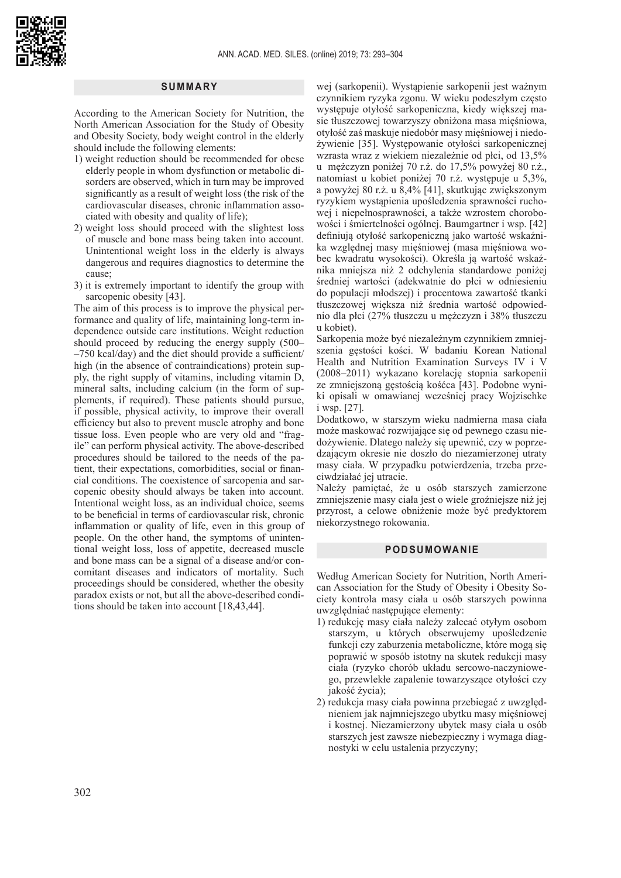

# **SUMMARY**

According to the American Society for Nutrition, the North American Association for the Study of Obesity and Obesity Society, body weight control in the elderly should include the following elements:

- 1) weight reduction should be recommended for obese elderly people in whom dysfunction or metabolic disorders are observed, which in turn may be improved significantly as a result of weight loss (the risk of the cardiovascular diseases, chronic inflammation associated with obesity and quality of life);
- 2) weight loss should proceed with the slightest loss of muscle and bone mass being taken into account. Unintentional weight loss in the elderly is always dangerous and requires diagnostics to determine the cause;
- 3) it is extremely important to identify the group with sarcopenic obesity [43].

The aim of this process is to improve the physical performance and quality of life, maintaining long-term independence outside care institutions. Weight reduction should proceed by reducing the energy supply (500– –750 kcal/day) and the diet should provide a sufficient/ high (in the absence of contraindications) protein supply, the right supply of vitamins, including vitamin D, mineral salts, including calcium (in the form of supplements, if required). These patients should pursue, if possible, physical activity, to improve their overall efficiency but also to prevent muscle atrophy and bone tissue loss. Even people who are very old and "fragile" can perform physical activity. The above-described procedures should be tailored to the needs of the patient, their expectations, comorbidities, social or financial conditions. The coexistence of sarcopenia and sarcopenic obesity should always be taken into account. Intentional weight loss, as an individual choice, seems to be beneficial in terms of cardiovascular risk, chronic inflammation or quality of life, even in this group of people. On the other hand, the symptoms of unintentional weight loss, loss of appetite, decreased muscle and bone mass can be a signal of a disease and/or concomitant diseases and indicators of mortality. Such proceedings should be considered, whether the obesity paradox exists or not, but all the above-described conditions should be taken into account [18,43,44].

wej (sarkopenii). Wystąpienie sarkopenii jest ważnym czynnikiem ryzyka zgonu. W wieku podeszłym często występuje otyłość sarkopeniczna, kiedy większej masie tłuszczowej towarzyszy obniżona masa mięśniowa, otyłość zaś maskuje niedobór masy mięśniowej i niedożywienie [35]. Występowanie otyłości sarkopenicznej wzrasta wraz z wiekiem niezależnie od płci, od 13,5% u mężczyzn poniżej 70 r.ż. do 17,5% powyżej 80 r.ż., natomiast u kobiet poniżej 70 r.ż. występuje u 5,3%, a powyżej 80 r.ż. u 8,4% [41], skutkując zwiększonym ryzykiem wystąpienia upośledzenia sprawności ruchowej i niepełnosprawności, a także wzrostem chorobowości i śmiertelności ogólnej. Baumgartner i wsp. [42] definiują otyłość sarkopeniczną jako wartość wskaźnika względnej masy mięśniowej (masa mięśniowa wobec kwadratu wysokości). Określa ją wartość wskaźnika mniejsza niż 2 odchylenia standardowe poniżej średniej wartości (adekwatnie do płci w odniesieniu do populacji młodszej) i procentowa zawartość tkanki tłuszczowej większa niż średnia wartość odpowiednio dla płci (27% tłuszczu u mężczyzn i 38% tłuszczu u kobiet).

Sarkopenia może być niezależnym czynnikiem zmniejszenia gęstości kości. W badaniu Korean National Health and Nutrition Examination Surveys IV i V (2008–2011) wykazano korelację stopnia sarkopenii ze zmniejszoną gęstością kośćca [43]. Podobne wyniki opisali w omawianej wcześniej pracy Wojzischke i wsp. [27].

Dodatkowo, w starszym wieku nadmierna masa ciała może maskować rozwijające się od pewnego czasu niedożywienie. Dlatego należy się upewnić, czy w poprzedzającym okresie nie doszło do niezamierzonej utraty masy ciała. W przypadku potwierdzenia, trzeba przeciwdziałać jej utracie.

Należy pamiętać, że u osób starszych zamierzone zmniejszenie masy ciała jest o wiele groźniejsze niż jej przyrost, a celowe obniżenie może być predyktorem niekorzystnego rokowania.

#### **PODSUMOWANIE**

Według American Society for Nutrition, North American Association for the Study of Obesity i Obesity Society kontrola masy ciała u osób starszych powinna uwzględniać następujące elementy:

- 1) redukcję masy ciała należy zalecać otyłym osobom starszym, u których obserwujemy upośledzenie funkcji czy zaburzenia metaboliczne, które mogą się poprawić w sposób istotny na skutek redukcji masy ciała (ryzyko chorób układu sercowo-naczyniowego, przewlekłe zapalenie towarzyszące otyłości czy jakość życia);
- 2) redukcja masy ciała powinna przebiegać z uwzględnieniem jak najmniejszego ubytku masy mięśniowej i kostnej. Niezamierzony ubytek masy ciała u osób starszych jest zawsze niebezpieczny i wymaga diagnostyki w celu ustalenia przyczyny;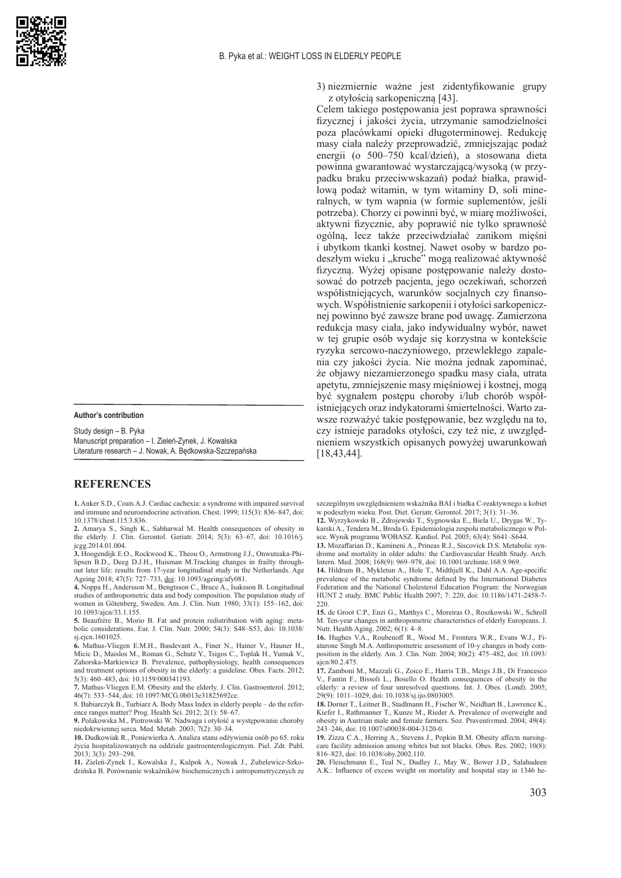

**Author's contribution**

Study design – B. Pyka Manuscript preparation – I. Zieleń-Zynek, J. Kowalska Literature research – J. Nowak, A. Będkowska-Szczepańska

# **REFERENCES**

**1.** Anker S.D., Coats A.J. Cardiac cachexia: a syndrome with impaired survival and immune and neuroendocrine activation. Chest. 1999; 115(3): 836–847, doi: 10.1378/chest.115.3.836.

**2.** Amarya S., Singh K., Sabharwal M. Health consequences of obesity in the elderly. J. Clin. Gerontol. Geriatr. 2014; 5(3): 63–67, doi: 10.1016/j. jcgg.2014.01.004.

**3.** Hoogendijk E.O., Rockwood K., Theou O., Armstrong J.J., Onwuteaka-Philipsen B.D., Deeg D.J.H., Huisman M.Tracking changes in frailty throughout later life: results from 17-year longitudinal study in the Netherlands. Age Ageing 2018; 47(5): 727–733, [doi](https://doi): 10.1093/ageing/afy081.

**4.** Noppa H., Andersson M., Bengtsson C., Bruce A., Isaksson B. Longitudinal studies of anthropometric data and body composition. The population study of women in Götenberg, Sweden. Am. J. Clin. Nutr. 1980; 33(1): 155–162, doi: 10.1093/ajcn/33.1.155.

**5.** Beaufrère B., Morio B. Fat and protein redistribution with aging: metabolic considerations. Eur. J. Clin. Nutr. 2000; 54(3): S48–S53, doi: 10.1038/ sj.ejcn.1601025.

**6.** Mathus-Vliegen E.M.H., Basdevant A., Finer N., Hainer V., Hauner H., Micic D., Maislos M., Roman G., Schutz Y., Tsigos C., Toplak H., Yumuk V., Zahorska-Markiewicz B. Prevalence, pathophysiology, health consequences and treatment options of obesity in the elderly: a guideline. Obes. Facts. 2012; 5(3): 460–483, doi: 10.1159/000341193.

**7.** Mathus-Vliegen E.M. Obesity and the elderly. J. Clin. Gastroenterol. 2012; 46(7): 533–544, doi: 10.1097/MCG.0b013e31825692ce.

8. Babiarczyk B., Turbiarz A. Body Mass Index in elderly people – do the reference ranges matter? Prog. Health Sci. 2012; 2(1): 58–67.

**9.** Polakowska M., Piotrowski W. Nadwaga i otyłość a występowanie choroby niedokrwiennej serca. Med. Metab. 2003; 7(2): 30–34.

**10.** Dudkowiak R., Poniewierka A. Analiza stanu odżywienia osób po 65. roku życia hospitalizowanych na oddziale gastroenterologicznym. Piel. Zdr. Publ. 2013; 3(3): 293–298.

**11.** Zieleń-Zynek I., Kowalska J., Kulpok A., Nowak J., Zubelewicz-Szkodzińska B. Porównanie wskaźników biochemicznych i antropometrycznych ze

3) niezmiernie ważne jest zidentyfikowanie grupy z otyłością sarkopeniczną [43].

Celem takiego postępowania jest poprawa sprawności fizycznej i jakości życia, utrzymanie samodzielności poza placówkami opieki długoterminowej. Redukcję masy ciała należy przeprowadzić, zmniejszając podaż energii (o 500–750 kcal/dzień), a stosowana dieta powinna gwarantować wystarczającą/wysoką (w przypadku braku przeciwwskazań) podaż białka, prawidłową podaż witamin, w tym witaminy D, soli mineralnych, w tym wapnia (w formie suplementów, jeśli potrzeba). Chorzy ci powinni być, w miarę możliwości, aktywni fizycznie, aby poprawić nie tylko sprawność ogólną, lecz także przeciwdziałać zanikom mięśni i ubytkom tkanki kostnej. Nawet osoby w bardzo podeszłym wieku i "kruche" mogą realizować aktywność fizyczną. Wyżej opisane postępowanie należy dostosować do potrzeb pacjenta, jego oczekiwań, schorzeń współistniejących, warunków socjalnych czy finansowych. Współistnienie sarkopenii i otyłości sarkopenicznej powinno być zawsze brane pod uwagę. Zamierzona redukcja masy ciała, jako indywidualny wybór, nawet w tej grupie osób wydaje się korzystna w kontekście ryzyka sercowo-naczyniowego, przewlekłego zapalenia czy jakości życia. Nie można jednak zapominać, że objawy niezamierzonego spadku masy ciała, utrata apetytu, zmniejszenie masy mięśniowej i kostnej, mogą być sygnałem postępu choroby i/lub chorób współistniejących oraz indykatorami śmiertelności. Warto zawsze rozważyć takie postępowanie, bez względu na to, czy istnieje paradoks otyłości, czy też nie, z uwzględnieniem wszystkich opisanych powyżej uwarunkowań [18,43,44].

szczególnym uwzględnieniem wskaźnika BAI i białka C-reaktywnego u kobiet w podeszłym wieku. Post. Diet. Geriatr. Gerontol. 2017; 3(1): 31–36. **12.** Wyrzykowski B., Zdrojewski T., Sygnowska E., Biela U., Drygas W., Ty-

karski A., Tendera M., Broda G. Epidemiologia zespołu metabolicznego w Polsce. Wynik programu WOBASZ. Kardiol. Pol. 2005; 63(4): S641–S644.

**13.** Mozaffarian D., Kamineni A., Prineas R.J., Siscovick D.S. Metabolic syndrome and mortality in older adults: the Cardiovascular Health Study. Arch. Intern. Med. 2008; 168(9): 969–978, doi: 10.1001/archinte.168.9.969.

**14.** Hildrum B., Mykletun A., Hole T., Midthjell K., Dahl A.A. Age-specific prevalence of the metabolic syndrome defined by the International Diabetes Federation and the National Cholesterol Education Program: the Norwegian HUNT 2 study. BMC Public Health 2007; 7: 220, doi: 10.1186/1471-2458-7- 220.

**15.** de Groot C.P., Enzi G., Matthys C., Moreiras O., Roszkowski W., Schroll M. Ten-year changes in anthropometric characteristics of elderly Europeans. J. Nutr. Health Aging. 2002; 6(1): 4–8.

**16.** Hughes V.A., Roubenoff R., Wood M., Frontera W.R., Evans W.J., Fiatarone Singh M.A. Anthropometric assessment of 10-y changes in body composition in the elderly. Am. J. Clin. Nutr. 2004; 80(2): 475–482, doi: 10.1093/ ajcn/80.2.475.

**17.** Zamboni M., Mazzali G., Zoico E., Harris T.B., Meigs J.B., Di Francesco V., Fantin F., Bissoli L., Bosello O. Health consequences of obesity in the elderly: a review of four unresolved questions. Int. J. Obes. (Lond). 2005; 29(9): 1011–1029, doi: 10.1038/sj.ijo.0803005.

**18.** Dorner T., Leitner B., Stadlmann H., Fischer W., Neidhart B., Lawrence K., Kiefer I., Rathmanner T., Kunze M., Rieder A. Prevalence of overweight and obesity in Austrian male and female farmers. Soz. Praventivmed. 2004; 49(4): 243–246, doi: 10.1007/s00038-004-3120-0.

**19.** Zizza C.A., Herring A., Stevens J., Popkin B.M. Obesity affects nursingcare facility admission among whites but not blacks. Obes. Res. 2002; 10(8): 816–823, doi: 10.1038/oby.2002.110.

**20.** Fleischmann E., Teal N., Dudley J., May W., Bower J.D., Salahudeen A.K.: Influence of excess weight on mortality and hospital stay in 1346 he-